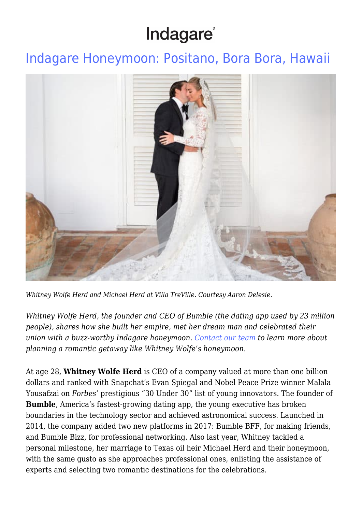# Indagare®

### [Indagare Honeymoon: Positano, Bora Bora, Hawaii](https://www.indagare.com/destinations/oceania-pacific/south-pacific/bora-bora-south-pacific/articles/whitney-wolfes-honeymoon/)



*Whitney Wolfe Herd and Michael Herd at Villa TreVille. Courtesy Aaron Delesie.*

*Whitney Wolfe Herd, the founder and CEO of Bumble (the dating app used by 23 million people), shares how she built her empire, met her dream man and celebrated their union with a buzz-worthy Indagare honeymoon. [Contact our team](https://www.indagare.com/contact) to learn more about planning a romantic getaway like Whitney Wolfe's honeymoon.*

At age 28, **Whitney Wolfe Herd** is CEO of a company valued at more than one billion dollars and ranked with Snapchat's Evan Spiegal and Nobel Peace Prize winner Malala Yousafzai on *Forbes*' prestigious "30 Under 30" list of young innovators. The founder of **Bumble**, America's fastest-growing dating app, the young executive has broken boundaries in the technology sector and achieved astronomical success. Launched in 2014, the company added two new platforms in 2017: Bumble BFF, for making friends, and Bumble Bizz, for professional networking. Also last year, Whitney tackled a personal milestone, her marriage to Texas oil heir Michael Herd and their honeymoon, with the same gusto as she approaches professional ones, enlisting the assistance of experts and selecting two romantic destinations for the celebrations.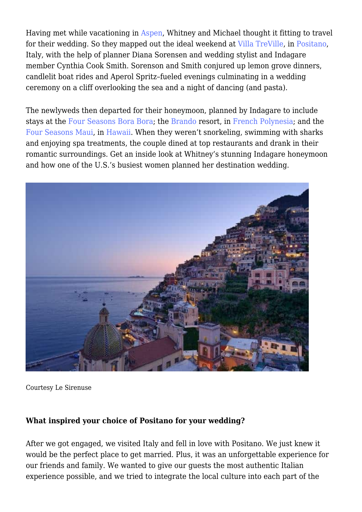Having met while vacationing in [Aspen](https://www.indagare.com/destination/north-america/us-west/aspen/), Whitney and Michael thought it fitting to travel for their wedding. So they mapped out the ideal weekend at [Villa TreVille](https://www.indagare.com/destinations/europe/italy/amalfi-coast/positano/hotels/villa-treville), in [Positano](https://www.indagare.com/destination/europe/italy/amalfi-coast/), Italy, with the help of planner Diana Sorensen and wedding stylist and Indagare member Cynthia Cook Smith. Sorenson and Smith conjured up lemon grove dinners, candlelit boat rides and Aperol Spritz–fueled evenings culminating in a wedding ceremony on a cliff overlooking the sea and a night of dancing (and pasta).

The newlyweds then departed for their honeymoon, planned by Indagare to include stays at the [Four Seasons Bora Bora;](https://www.indagare.com/destinations/oceania-pacific/south-pacific/bora-bora-south-pacific/hotels/four-seasons-bora-bora) the [Brando](https://www.indagare.com/destinations/oceania-pacific/south-pacific/bora-bora-south-pacific/hotels/the-brando) resort, in [French Polynesia](https://www.indagare.com/destination/oceania-pacific/south-pacific/french-polynesia/); and the [Four Seasons Maui](https://www.indagare.com/destinations/north-america/hawaii/hawaii-maui/southwest-wailea-kihei/hotels/four-seasons-resort-maui), in [Hawaii](https://www.indagare.com/destination/north-america/hawaii/). When they weren't snorkeling, swimming with sharks and enjoying spa treatments, the couple dined at top restaurants and drank in their romantic surroundings. Get an inside look at Whitney's stunning Indagare honeymoon and how one of the U.S.'s busiest women planned her destination wedding.



Courtesy Le Sirenuse

#### **What inspired your choice of Positano for your wedding?**

After we got engaged, we visited Italy and fell in love with Positano. We just knew it would be the perfect place to get married. Plus, it was an unforgettable experience for our friends and family. We wanted to give our guests the most authentic Italian experience possible, and we tried to integrate the local culture into each part of the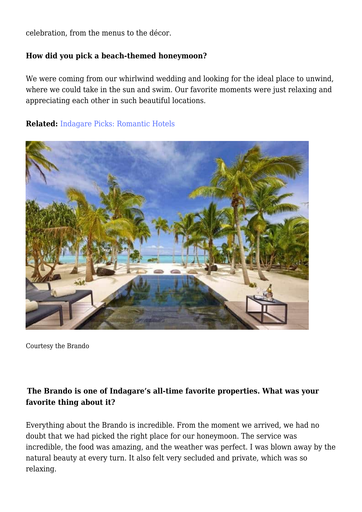celebration, from the menus to the décor.

#### **How did you pick a beach-themed honeymoon?**

We were coming from our whirlwind wedding and looking for the ideal place to unwind, where we could take in the sun and swim. Our favorite moments were just relaxing and appreciating each other in such beautiful locations.

#### **Related:** [Indagare Picks: Romantic Hotels](https://www.indagare.com/destinations/world/articles/indagare-picks-romantic-hotels)



Courtesy the Brando

#### **The Brando is one of Indagare's all-time favorite properties. What was your favorite thing about it?**

Everything about the Brando is incredible. From the moment we arrived, we had no doubt that we had picked the right place for our honeymoon. The service was incredible, the food was amazing, and the weather was perfect. I was blown away by the natural beauty at every turn. It also felt very secluded and private, which was so relaxing.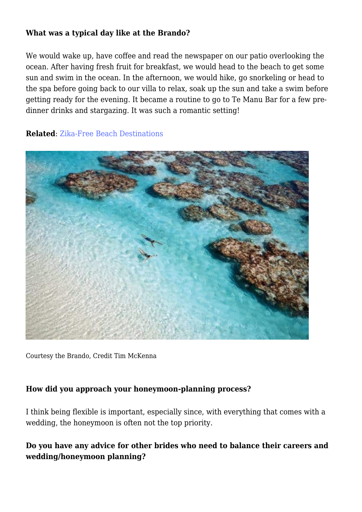#### **What was a typical day like at the Brando?**

We would wake up, have coffee and read the newspaper on our patio overlooking the ocean. After having fresh fruit for breakfast, we would head to the beach to get some sun and swim in the ocean. In the afternoon, we would hike, go snorkeling or head to the spa before going back to our villa to relax, soak up the sun and take a swim before getting ready for the evening. It became a routine to go to Te Manu Bar for a few predinner drinks and stargazing. It was such a romantic setting!

**Related**: [Zika-Free Beach Destinations](https://www.indagare.com/destinations/world/articles/top-10-zika-free-beach-vacations)



Courtesy the Brando, Credit Tim McKenna

#### **How did you approach your honeymoon-planning process?**

I think being flexible is important, especially since, with everything that comes with a wedding, the honeymoon is often not the top priority.

#### **Do you have any advice for other brides who need to balance their careers and wedding/honeymoon planning?**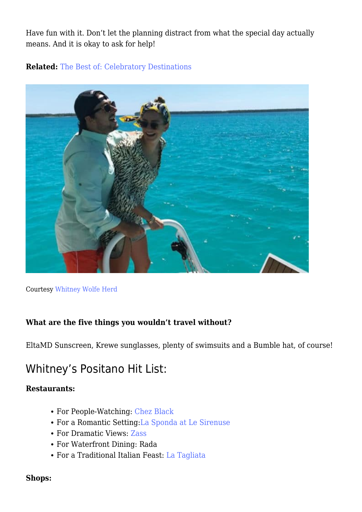Have fun with it. Don't let the planning distract from what the special day actually means. And it is okay to ask for help!

#### **Related:** [The Best of: Celebratory Destinations](https://www.indagare.com/destinations/world/articles/best-celebratory-destinations)



Courtesy [Whitney Wolfe Herd](https://www.forbes.com/sites/clareoconnor/2017/11/14/billion-dollar-bumble-how-whitney-wolfe-herd-built-americas-fastest-growing-dating-app/#7556e9cd248b)

#### **What are the five things you wouldn't travel without?**

EltaMD Sunscreen, Krewe sunglasses, plenty of swimsuits and a Bumble hat, of course!

### Whitney's Positano Hit List:

#### **Restaurants:**

- For People-Watching: [Chez Black](https://www.indagare.com/destinations/europe/italy/amalfi-coast/positano/restaurants/chez-black)
- For a Romantic Setting:[La Sponda at Le Sirenuse](https://www.indagare.com/destinations/europe/italy/amalfi-coast/positano/restaurants/la-sponda)
- For Dramatic Views: [Zass](https://www.indagare.com/destinations/europe/italy/amalfi-coast/positano/restaurants/il-san-pietros-zass)
- For Waterfront Dining: Rada
- For a Traditional Italian Feast: [La Tagliata](https://www.indagare.com/destinations/europe/italy/amalfi-coast/off-the-beaten-path-amalfi-coast/restaurants/la-tagliata)

#### **Shops:**